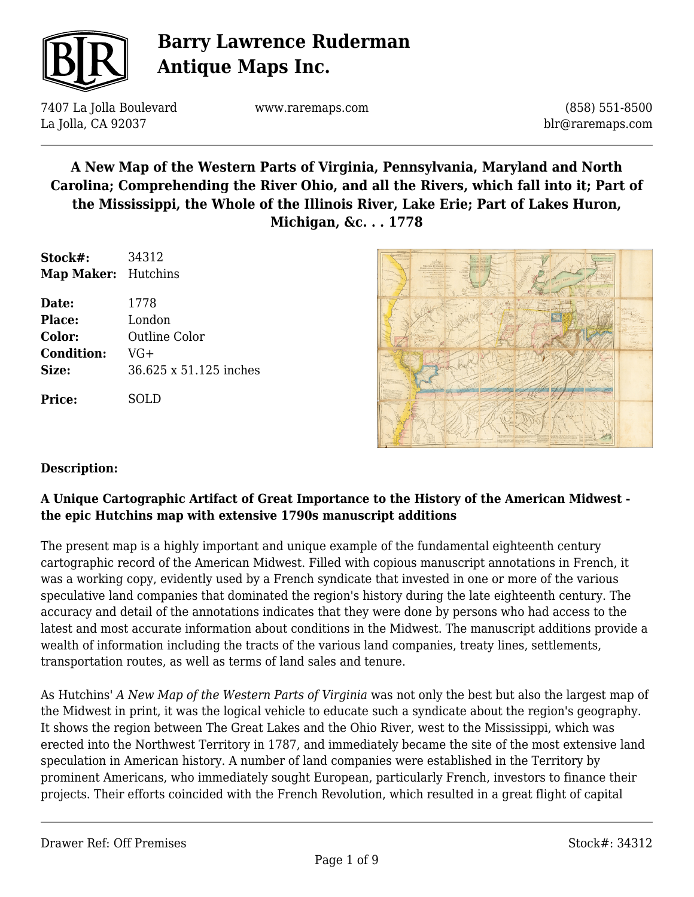

7407 La Jolla Boulevard La Jolla, CA 92037

www.raremaps.com

(858) 551-8500 blr@raremaps.com

**A New Map of the Western Parts of Virginia, Pennsylvania, Maryland and North Carolina; Comprehending the River Ohio, and all the Rivers, which fall into it; Part of the Mississippi, the Whole of the Illinois River, Lake Erie; Part of Lakes Huron, Michigan, &c. . . 1778**

**Stock#:** 34312 **Map Maker:** Hutchins **Date:** 1778 **Place:** London **Color:** Outline Color **Condition:** VG+ **Size:** 36.625 x 51.125 inches **Price:** SOLD



#### **Description:**

#### **A Unique Cartographic Artifact of Great Importance to the History of the American Midwest the epic Hutchins map with extensive 1790s manuscript additions**

The present map is a highly important and unique example of the fundamental eighteenth century cartographic record of the American Midwest. Filled with copious manuscript annotations in French, it was a working copy, evidently used by a French syndicate that invested in one or more of the various speculative land companies that dominated the region's history during the late eighteenth century. The accuracy and detail of the annotations indicates that they were done by persons who had access to the latest and most accurate information about conditions in the Midwest. The manuscript additions provide a wealth of information including the tracts of the various land companies, treaty lines, settlements, transportation routes, as well as terms of land sales and tenure.

As Hutchins' *A New Map of the Western Parts of Virginia* was not only the best but also the largest map of the Midwest in print, it was the logical vehicle to educate such a syndicate about the region's geography. It shows the region between The Great Lakes and the Ohio River, west to the Mississippi, which was erected into the Northwest Territory in 1787, and immediately became the site of the most extensive land speculation in American history. A number of land companies were established in the Territory by prominent Americans, who immediately sought European, particularly French, investors to finance their projects. Their efforts coincided with the French Revolution, which resulted in a great flight of capital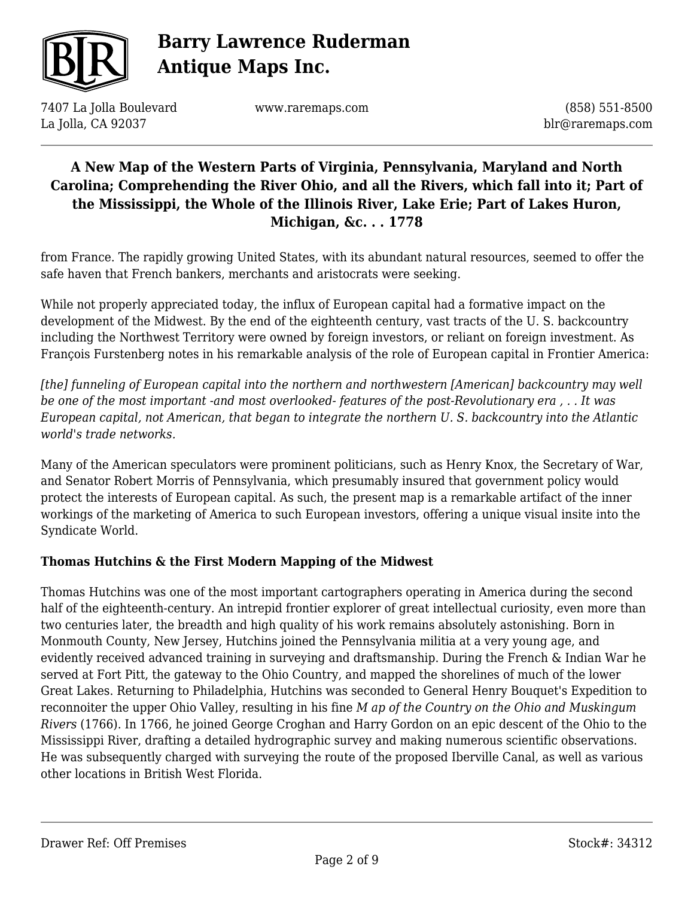

7407 La Jolla Boulevard La Jolla, CA 92037

www.raremaps.com

(858) 551-8500 blr@raremaps.com

### **A New Map of the Western Parts of Virginia, Pennsylvania, Maryland and North Carolina; Comprehending the River Ohio, and all the Rivers, which fall into it; Part of the Mississippi, the Whole of the Illinois River, Lake Erie; Part of Lakes Huron, Michigan, &c. . . 1778**

from France. The rapidly growing United States, with its abundant natural resources, seemed to offer the safe haven that French bankers, merchants and aristocrats were seeking.

While not properly appreciated today, the influx of European capital had a formative impact on the development of the Midwest. By the end of the eighteenth century, vast tracts of the U. S. backcountry including the Northwest Territory were owned by foreign investors, or reliant on foreign investment. As François Furstenberg notes in his remarkable analysis of the role of European capital in Frontier America:

*[the] funneling of European capital into the northern and northwestern [American] backcountry may well be one of the most important -and most overlooked- features of the post-Revolutionary era , . . It was European capital, not American, that began to integrate the northern U. S. backcountry into the Atlantic world's trade networks.*

Many of the American speculators were prominent politicians, such as Henry Knox, the Secretary of War, and Senator Robert Morris of Pennsylvania, which presumably insured that government policy would protect the interests of European capital. As such, the present map is a remarkable artifact of the inner workings of the marketing of America to such European investors, offering a unique visual insite into the Syndicate World.

#### **Thomas Hutchins & the First Modern Mapping of the Midwest**

Thomas Hutchins was one of the most important cartographers operating in America during the second half of the eighteenth-century. An intrepid frontier explorer of great intellectual curiosity, even more than two centuries later, the breadth and high quality of his work remains absolutely astonishing. Born in Monmouth County, New Jersey, Hutchins joined the Pennsylvania militia at a very young age, and evidently received advanced training in surveying and draftsmanship. During the French & Indian War he served at Fort Pitt, the gateway to the Ohio Country, and mapped the shorelines of much of the lower Great Lakes. Returning to Philadelphia, Hutchins was seconded to General Henry Bouquet's Expedition to reconnoiter the upper Ohio Valley, resulting in his fine *M ap of the Country on the Ohio and Muskingum Rivers* (1766). In 1766, he joined George Croghan and Harry Gordon on an epic descent of the Ohio to the Mississippi River, drafting a detailed hydrographic survey and making numerous scientific observations. He was subsequently charged with surveying the route of the proposed Iberville Canal, as well as various other locations in British West Florida.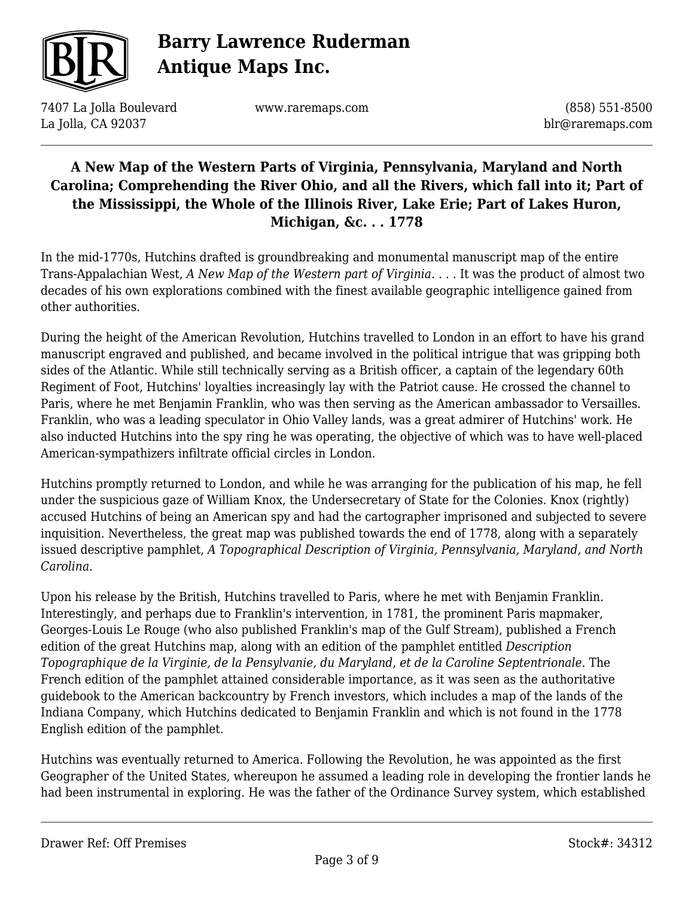

7407 La Jolla Boulevard La Jolla, CA 92037

www.raremaps.com

(858) 551-8500 blr@raremaps.com

### **A New Map of the Western Parts of Virginia, Pennsylvania, Maryland and North Carolina; Comprehending the River Ohio, and all the Rivers, which fall into it; Part of the Mississippi, the Whole of the Illinois River, Lake Erie; Part of Lakes Huron, Michigan, &c. . . 1778**

In the mid-1770s, Hutchins drafted is groundbreaking and monumental manuscript map of the entire Trans-Appalachian West, *A New Map of the Western part of Virginia*. . . . It was the product of almost two decades of his own explorations combined with the finest available geographic intelligence gained from other authorities.

During the height of the American Revolution, Hutchins travelled to London in an effort to have his grand manuscript engraved and published, and became involved in the political intrigue that was gripping both sides of the Atlantic. While still technically serving as a British officer, a captain of the legendary 60th Regiment of Foot, Hutchins' loyalties increasingly lay with the Patriot cause. He crossed the channel to Paris, where he met Benjamin Franklin, who was then serving as the American ambassador to Versailles. Franklin, who was a leading speculator in Ohio Valley lands, was a great admirer of Hutchins' work. He also inducted Hutchins into the spy ring he was operating, the objective of which was to have well-placed American-sympathizers infiltrate official circles in London.

Hutchins promptly returned to London, and while he was arranging for the publication of his map, he fell under the suspicious gaze of William Knox, the Undersecretary of State for the Colonies. Knox (rightly) accused Hutchins of being an American spy and had the cartographer imprisoned and subjected to severe inquisition. Nevertheless, the great map was published towards the end of 1778, along with a separately issued descriptive pamphlet, *A Topographical Description of Virginia, Pennsylvania, Maryland, and North Carolina*.

Upon his release by the British, Hutchins travelled to Paris, where he met with Benjamin Franklin. Interestingly, and perhaps due to Franklin's intervention, in 1781, the prominent Paris mapmaker, Georges-Louis Le Rouge (who also published Franklin's map of the Gulf Stream), published a French edition of the great Hutchins map, along with an edition of the pamphlet entitled *Description Topographique de la Virginie, de la Pensylvanie, du Maryland, et de la Caroline Septentrionale*. The French edition of the pamphlet attained considerable importance, as it was seen as the authoritative guidebook to the American backcountry by French investors, which includes a map of the lands of the Indiana Company, which Hutchins dedicated to Benjamin Franklin and which is not found in the 1778 English edition of the pamphlet.

Hutchins was eventually returned to America. Following the Revolution, he was appointed as the first Geographer of the United States, whereupon he assumed a leading role in developing the frontier lands he had been instrumental in exploring. He was the father of the Ordinance Survey system, which established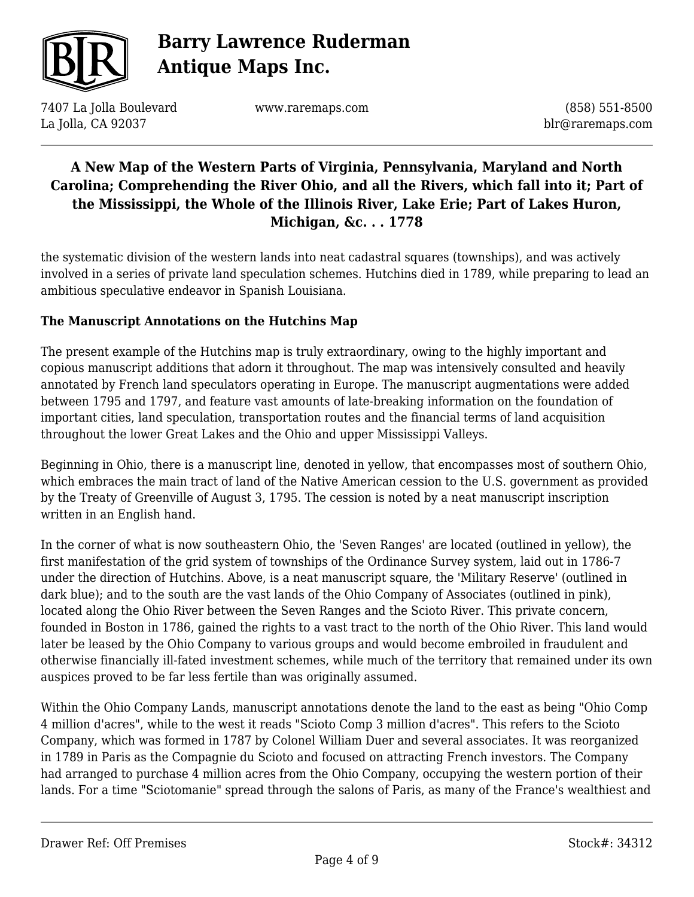

7407 La Jolla Boulevard La Jolla, CA 92037

www.raremaps.com

(858) 551-8500 blr@raremaps.com

### **A New Map of the Western Parts of Virginia, Pennsylvania, Maryland and North Carolina; Comprehending the River Ohio, and all the Rivers, which fall into it; Part of the Mississippi, the Whole of the Illinois River, Lake Erie; Part of Lakes Huron, Michigan, &c. . . 1778**

the systematic division of the western lands into neat cadastral squares (townships), and was actively involved in a series of private land speculation schemes. Hutchins died in 1789, while preparing to lead an ambitious speculative endeavor in Spanish Louisiana.

#### **The Manuscript Annotations on the Hutchins Map**

The present example of the Hutchins map is truly extraordinary, owing to the highly important and copious manuscript additions that adorn it throughout. The map was intensively consulted and heavily annotated by French land speculators operating in Europe. The manuscript augmentations were added between 1795 and 1797, and feature vast amounts of late-breaking information on the foundation of important cities, land speculation, transportation routes and the financial terms of land acquisition throughout the lower Great Lakes and the Ohio and upper Mississippi Valleys.

Beginning in Ohio, there is a manuscript line, denoted in yellow, that encompasses most of southern Ohio, which embraces the main tract of land of the Native American cession to the U.S. government as provided by the Treaty of Greenville of August 3, 1795. The cession is noted by a neat manuscript inscription written in an English hand.

In the corner of what is now southeastern Ohio, the 'Seven Ranges' are located (outlined in yellow), the first manifestation of the grid system of townships of the Ordinance Survey system, laid out in 1786-7 under the direction of Hutchins. Above, is a neat manuscript square, the 'Military Reserve' (outlined in dark blue); and to the south are the vast lands of the Ohio Company of Associates (outlined in pink), located along the Ohio River between the Seven Ranges and the Scioto River. This private concern, founded in Boston in 1786, gained the rights to a vast tract to the north of the Ohio River. This land would later be leased by the Ohio Company to various groups and would become embroiled in fraudulent and otherwise financially ill-fated investment schemes, while much of the territory that remained under its own auspices proved to be far less fertile than was originally assumed.

Within the Ohio Company Lands, manuscript annotations denote the land to the east as being "Ohio Comp 4 million d'acres", while to the west it reads "Scioto Comp 3 million d'acres". This refers to the Scioto Company, which was formed in 1787 by Colonel William Duer and several associates. It was reorganized in 1789 in Paris as the Compagnie du Scioto and focused on attracting French investors. The Company had arranged to purchase 4 million acres from the Ohio Company, occupying the western portion of their lands. For a time "Sciotomanie" spread through the salons of Paris, as many of the France's wealthiest and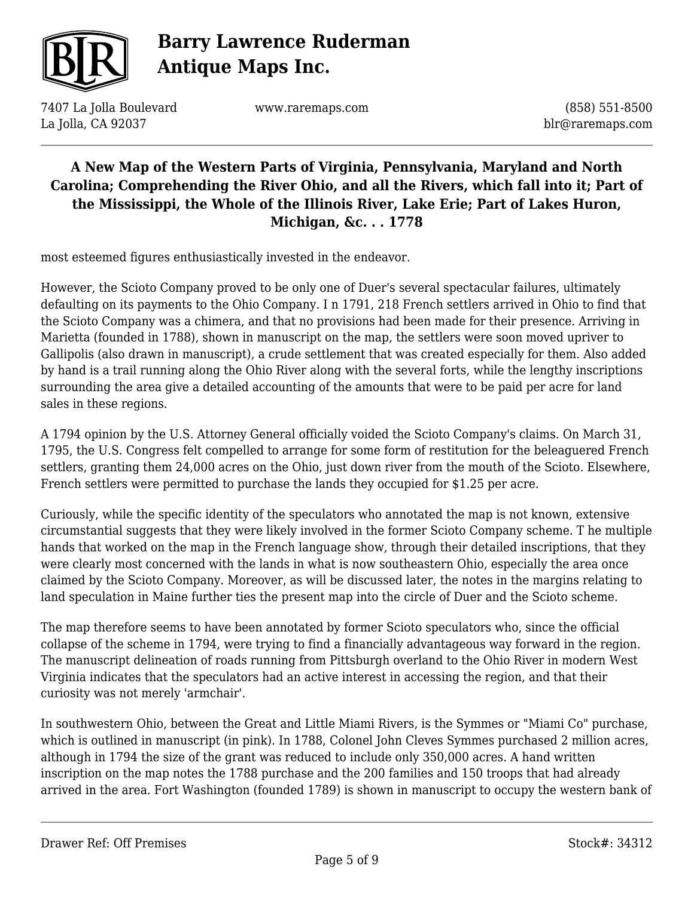

7407 La Jolla Boulevard La Jolla, CA 92037

www.raremaps.com

(858) 551-8500 blr@raremaps.com

### **A New Map of the Western Parts of Virginia, Pennsylvania, Maryland and North Carolina; Comprehending the River Ohio, and all the Rivers, which fall into it; Part of the Mississippi, the Whole of the Illinois River, Lake Erie; Part of Lakes Huron, Michigan, &c. . . 1778**

most esteemed figures enthusiastically invested in the endeavor.

However, the Scioto Company proved to be only one of Duer's several spectacular failures, ultimately defaulting on its payments to the Ohio Company. I n 1791, 218 French settlers arrived in Ohio to find that the Scioto Company was a chimera, and that no provisions had been made for their presence. Arriving in Marietta (founded in 1788), shown in manuscript on the map, the settlers were soon moved upriver to Gallipolis (also drawn in manuscript), a crude settlement that was created especially for them. Also added by hand is a trail running along the Ohio River along with the several forts, while the lengthy inscriptions surrounding the area give a detailed accounting of the amounts that were to be paid per acre for land sales in these regions.

A 1794 opinion by the U.S. Attorney General officially voided the Scioto Company's claims. On March 31, 1795, the U.S. Congress felt compelled to arrange for some form of restitution for the beleaguered French settlers, granting them 24,000 acres on the Ohio, just down river from the mouth of the Scioto. Elsewhere, French settlers were permitted to purchase the lands they occupied for \$1.25 per acre.

Curiously, while the specific identity of the speculators who annotated the map is not known, extensive circumstantial suggests that they were likely involved in the former Scioto Company scheme. T he multiple hands that worked on the map in the French language show, through their detailed inscriptions, that they were clearly most concerned with the lands in what is now southeastern Ohio, especially the area once claimed by the Scioto Company. Moreover, as will be discussed later, the notes in the margins relating to land speculation in Maine further ties the present map into the circle of Duer and the Scioto scheme.

The map therefore seems to have been annotated by former Scioto speculators who, since the official collapse of the scheme in 1794, were trying to find a financially advantageous way forward in the region. The manuscript delineation of roads running from Pittsburgh overland to the Ohio River in modern West Virginia indicates that the speculators had an active interest in accessing the region, and that their curiosity was not merely 'armchair'.

In southwestern Ohio, between the Great and Little Miami Rivers, is the Symmes or "Miami Co" purchase, which is outlined in manuscript (in pink). In 1788, Colonel John Cleves Symmes purchased 2 million acres, although in 1794 the size of the grant was reduced to include only 350,000 acres. A hand written inscription on the map notes the 1788 purchase and the 200 families and 150 troops that had already arrived in the area. Fort Washington (founded 1789) is shown in manuscript to occupy the western bank of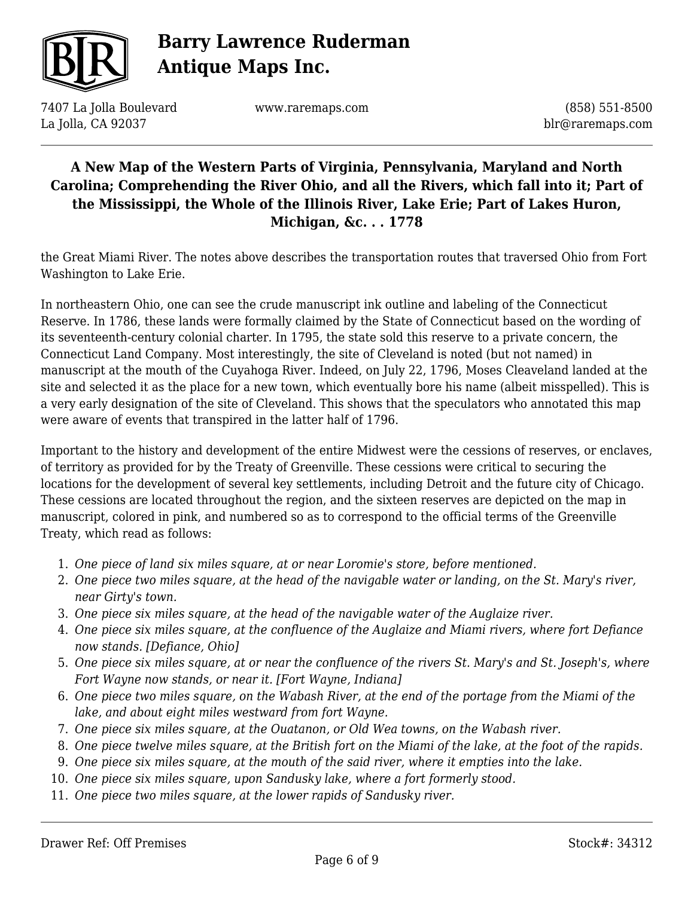

7407 La Jolla Boulevard La Jolla, CA 92037

www.raremaps.com

(858) 551-8500 blr@raremaps.com

### **A New Map of the Western Parts of Virginia, Pennsylvania, Maryland and North Carolina; Comprehending the River Ohio, and all the Rivers, which fall into it; Part of the Mississippi, the Whole of the Illinois River, Lake Erie; Part of Lakes Huron, Michigan, &c. . . 1778**

the Great Miami River. The notes above describes the transportation routes that traversed Ohio from Fort Washington to Lake Erie.

In northeastern Ohio, one can see the crude manuscript ink outline and labeling of the Connecticut Reserve. In 1786, these lands were formally claimed by the State of Connecticut based on the wording of its seventeenth-century colonial charter. In 1795, the state sold this reserve to a private concern, the Connecticut Land Company. Most interestingly, the site of Cleveland is noted (but not named) in manuscript at the mouth of the Cuyahoga River. Indeed, on July 22, 1796, Moses Cleaveland landed at the site and selected it as the place for a new town, which eventually bore his name (albeit misspelled). This is a very early designation of the site of Cleveland. This shows that the speculators who annotated this map were aware of events that transpired in the latter half of 1796.

Important to the history and development of the entire Midwest were the cessions of reserves, or enclaves, of territory as provided for by the Treaty of Greenville. These cessions were critical to securing the locations for the development of several key settlements, including Detroit and the future city of Chicago. These cessions are located throughout the region, and the sixteen reserves are depicted on the map in manuscript, colored in pink, and numbered so as to correspond to the official terms of the Greenville Treaty, which read as follows:

- 1. *One piece of land six miles square, at or near Loromie's store, before mentioned.*
- 2. *One piece two miles square, at the head of the navigable water or landing, on the St. Mary's river, near Girty's town.*
- 3. *One piece six miles square, at the head of the navigable water of the Auglaize river.*
- 4. *One piece six miles square, at the confluence of the Auglaize and Miami rivers, where fort Defiance now stands. [Defiance, Ohio]*
- 5. *One piece six miles square, at or near the confluence of the rivers St. Mary's and St. Joseph's, where Fort Wayne now stands, or near it. [Fort Wayne, Indiana]*
- 6. *One piece two miles square, on the Wabash River, at the end of the portage from the Miami of the lake, and about eight miles westward from fort Wayne.*
- 7. *One piece six miles square, at the Ouatanon, or Old Wea towns, on the Wabash river.*
- 8. *One piece twelve miles square, at the British fort on the Miami of the lake, at the foot of the rapids.*
- 9. *One piece six miles square, at the mouth of the said river, where it empties into the lake.*
- 10. *One piece six miles square, upon Sandusky lake, where a fort formerly stood.*
- 11. *One piece two miles square, at the lower rapids of Sandusky river.*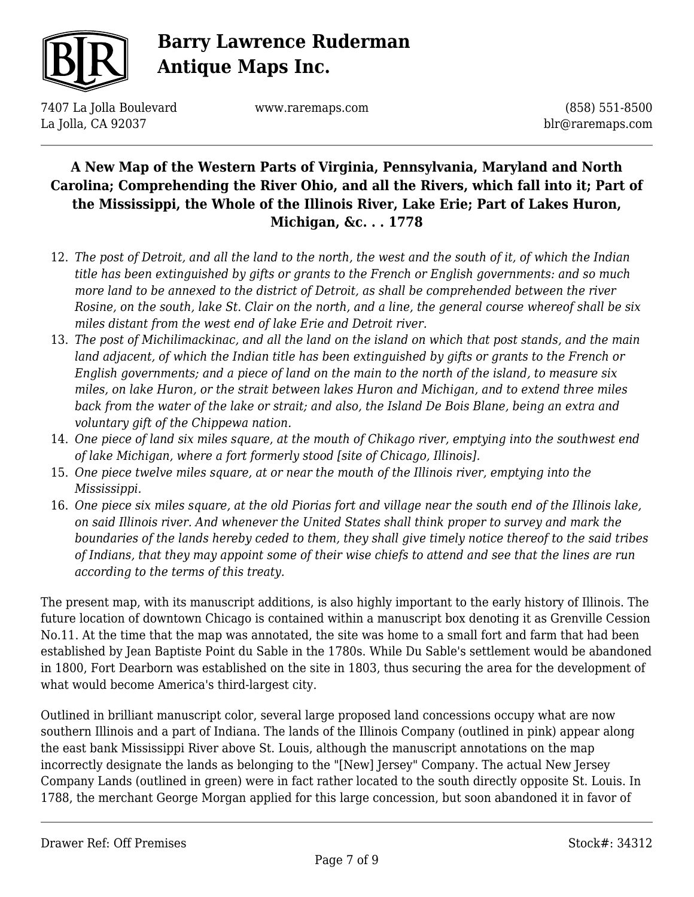

7407 La Jolla Boulevard La Jolla, CA 92037

www.raremaps.com

(858) 551-8500 blr@raremaps.com

### **A New Map of the Western Parts of Virginia, Pennsylvania, Maryland and North Carolina; Comprehending the River Ohio, and all the Rivers, which fall into it; Part of the Mississippi, the Whole of the Illinois River, Lake Erie; Part of Lakes Huron, Michigan, &c. . . 1778**

- 12. *The post of Detroit, and all the land to the north, the west and the south of it, of which the Indian title has been extinguished by gifts or grants to the French or English governments: and so much more land to be annexed to the district of Detroit, as shall be comprehended between the river Rosine, on the south, lake St. Clair on the north, and a line, the general course whereof shall be six miles distant from the west end of lake Erie and Detroit river.*
- 13. *The post of Michilimackinac, and all the land on the island on which that post stands, and the main land adjacent, of which the Indian title has been extinguished by gifts or grants to the French or English governments; and a piece of land on the main to the north of the island, to measure six miles, on lake Huron, or the strait between lakes Huron and Michigan, and to extend three miles back from the water of the lake or strait; and also, the Island De Bois Blane, being an extra and voluntary gift of the Chippewa nation.*
- 14. *One piece of land six miles square, at the mouth of Chikago river, emptying into the southwest end of lake Michigan, where a fort formerly stood [site of Chicago, Illinois].*
- 15. *One piece twelve miles square, at or near the mouth of the Illinois river, emptying into the Mississippi.*
- 16. *One piece six miles square, at the old Piorias fort and village near the south end of the Illinois lake, on said Illinois river. And whenever the United States shall think proper to survey and mark the boundaries of the lands hereby ceded to them, they shall give timely notice thereof to the said tribes of Indians, that they may appoint some of their wise chiefs to attend and see that the lines are run according to the terms of this treaty.*

The present map, with its manuscript additions, is also highly important to the early history of Illinois. The future location of downtown Chicago is contained within a manuscript box denoting it as Grenville Cession No.11. At the time that the map was annotated, the site was home to a small fort and farm that had been established by Jean Baptiste Point du Sable in the 1780s. While Du Sable's settlement would be abandoned in 1800, Fort Dearborn was established on the site in 1803, thus securing the area for the development of what would become America's third-largest city.

Outlined in brilliant manuscript color, several large proposed land concessions occupy what are now southern Illinois and a part of Indiana. The lands of the Illinois Company (outlined in pink) appear along the east bank Mississippi River above St. Louis, although the manuscript annotations on the map incorrectly designate the lands as belonging to the "[New] Jersey" Company. The actual New Jersey Company Lands (outlined in green) were in fact rather located to the south directly opposite St. Louis. In 1788, the merchant George Morgan applied for this large concession, but soon abandoned it in favor of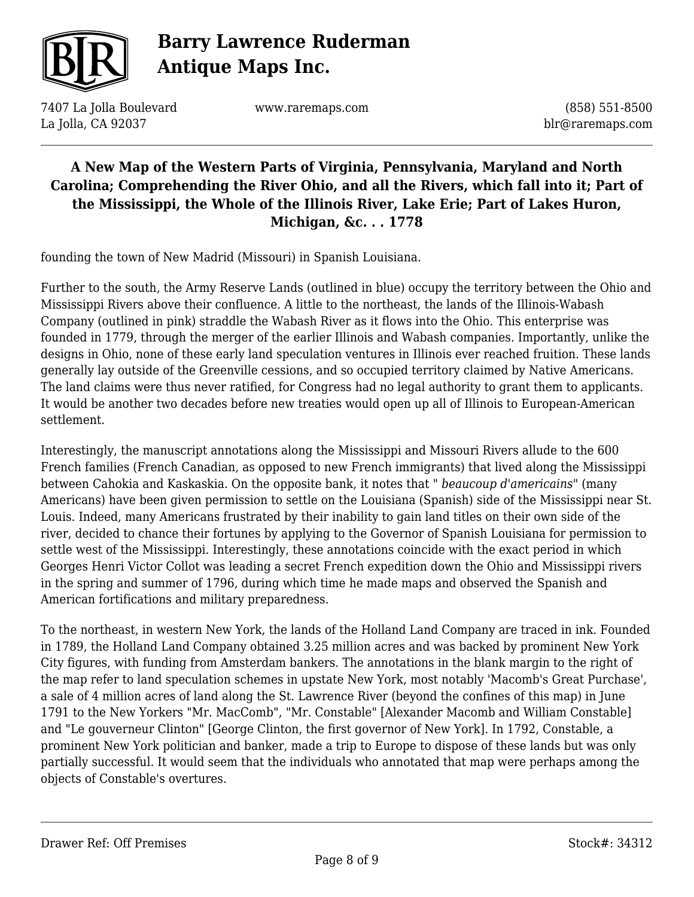

7407 La Jolla Boulevard La Jolla, CA 92037

www.raremaps.com

(858) 551-8500 blr@raremaps.com

### **A New Map of the Western Parts of Virginia, Pennsylvania, Maryland and North Carolina; Comprehending the River Ohio, and all the Rivers, which fall into it; Part of the Mississippi, the Whole of the Illinois River, Lake Erie; Part of Lakes Huron, Michigan, &c. . . 1778**

founding the town of New Madrid (Missouri) in Spanish Louisiana.

Further to the south, the Army Reserve Lands (outlined in blue) occupy the territory between the Ohio and Mississippi Rivers above their confluence. A little to the northeast, the lands of the Illinois-Wabash Company (outlined in pink) straddle the Wabash River as it flows into the Ohio. This enterprise was founded in 1779, through the merger of the earlier Illinois and Wabash companies. Importantly, unlike the designs in Ohio, none of these early land speculation ventures in Illinois ever reached fruition. These lands generally lay outside of the Greenville cessions, and so occupied territory claimed by Native Americans. The land claims were thus never ratified, for Congress had no legal authority to grant them to applicants. It would be another two decades before new treaties would open up all of Illinois to European-American settlement.

Interestingly, the manuscript annotations along the Mississippi and Missouri Rivers allude to the 600 French families (French Canadian, as opposed to new French immigrants) that lived along the Mississippi between Cahokia and Kaskaskia. On the opposite bank, it notes that " *beaucoup d'americains*" (many Americans) have been given permission to settle on the Louisiana (Spanish) side of the Mississippi near St. Louis. Indeed, many Americans frustrated by their inability to gain land titles on their own side of the river, decided to chance their fortunes by applying to the Governor of Spanish Louisiana for permission to settle west of the Mississippi. Interestingly, these annotations coincide with the exact period in which Georges Henri Victor Collot was leading a secret French expedition down the Ohio and Mississippi rivers in the spring and summer of 1796, during which time he made maps and observed the Spanish and American fortifications and military preparedness.

To the northeast, in western New York, the lands of the Holland Land Company are traced in ink. Founded in 1789, the Holland Land Company obtained 3.25 million acres and was backed by prominent New York City figures, with funding from Amsterdam bankers. The annotations in the blank margin to the right of the map refer to land speculation schemes in upstate New York, most notably 'Macomb's Great Purchase', a sale of 4 million acres of land along the St. Lawrence River (beyond the confines of this map) in June 1791 to the New Yorkers "Mr. MacComb", "Mr. Constable" [Alexander Macomb and William Constable] and "Le gouverneur Clinton" [George Clinton, the first governor of New York]. In 1792, Constable, a prominent New York politician and banker, made a trip to Europe to dispose of these lands but was only partially successful. It would seem that the individuals who annotated that map were perhaps among the objects of Constable's overtures.